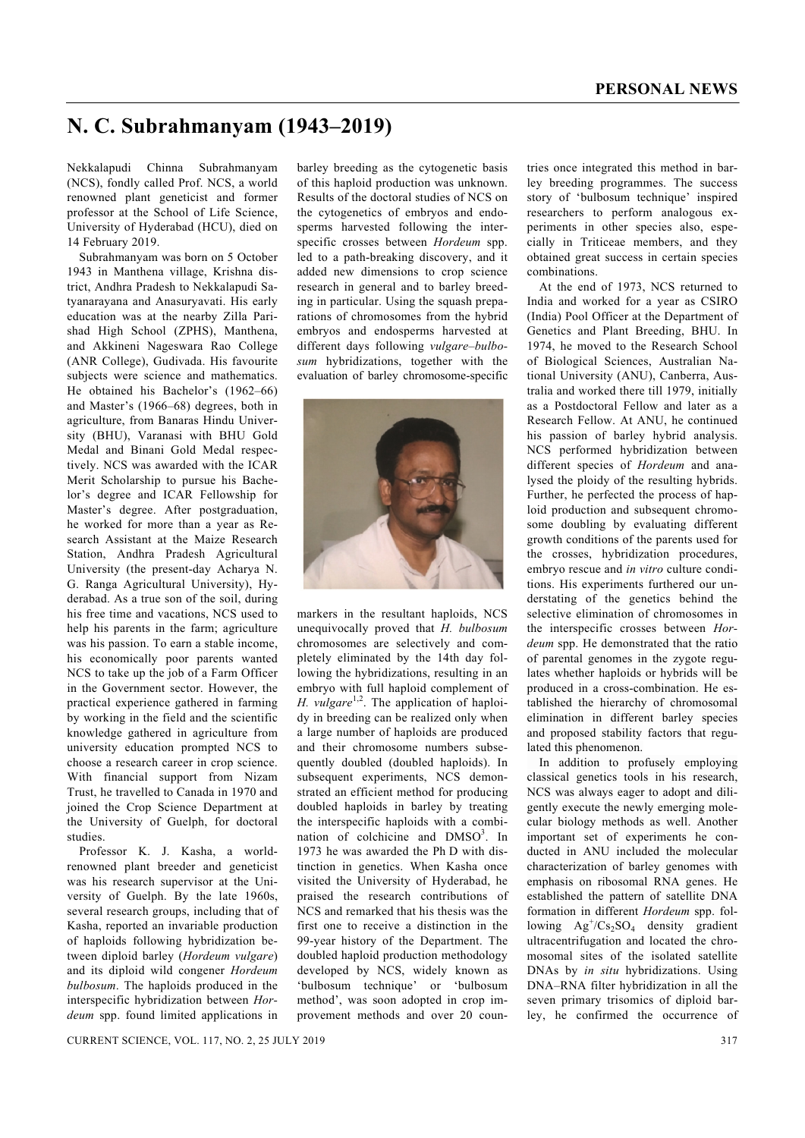## **N. C. Subrahmanyam (1943–2019)**

Nekkalapudi Chinna Subrahmanyam (NCS), fondly called Prof. NCS, a world renowned plant geneticist and former professor at the School of Life Science, University of Hyderabad (HCU), died on 14 February 2019.

 Subrahmanyam was born on 5 October 1943 in Manthena village, Krishna district, Andhra Pradesh to Nekkalapudi Satyanarayana and Anasuryavati. His early education was at the nearby Zilla Parishad High School (ZPHS), Manthena, and Akkineni Nageswara Rao College (ANR College), Gudivada. His favourite subjects were science and mathematics. He obtained his Bachelor's (1962–66) and Master's (1966–68) degrees, both in agriculture, from Banaras Hindu University (BHU), Varanasi with BHU Gold Medal and Binani Gold Medal respectively. NCS was awarded with the ICAR Merit Scholarship to pursue his Bachelor's degree and ICAR Fellowship for Master's degree. After postgraduation, he worked for more than a year as Research Assistant at the Maize Research Station, Andhra Pradesh Agricultural University (the present-day Acharya N. G. Ranga Agricultural University), Hyderabad. As a true son of the soil, during his free time and vacations, NCS used to help his parents in the farm; agriculture was his passion. To earn a stable income, his economically poor parents wanted NCS to take up the job of a Farm Officer in the Government sector. However, the practical experience gathered in farming by working in the field and the scientific knowledge gathered in agriculture from university education prompted NCS to choose a research career in crop science. With financial support from Nizam Trust, he travelled to Canada in 1970 and joined the Crop Science Department at the University of Guelph, for doctoral studies.

 Professor K. J. Kasha, a worldrenowned plant breeder and geneticist was his research supervisor at the University of Guelph. By the late 1960s, several research groups, including that of Kasha, reported an invariable production of haploids following hybridization between diploid barley (*Hordeum vulgare*) and its diploid wild congener *Hordeum bulbosum*. The haploids produced in the interspecific hybridization between *Hordeum* spp. found limited applications in

barley breeding as the cytogenetic basis of this haploid production was unknown. Results of the doctoral studies of NCS on the cytogenetics of embryos and endosperms harvested following the interspecific crosses between *Hordeum* spp. led to a path-breaking discovery, and it added new dimensions to crop science research in general and to barley breeding in particular. Using the squash preparations of chromosomes from the hybrid embryos and endosperms harvested at different days following *vulgare*–*bulbosum* hybridizations, together with the evaluation of barley chromosome-specific



markers in the resultant haploids, NCS unequivocally proved that *H. bulbosum* chromosomes are selectively and completely eliminated by the 14th day following the hybridizations, resulting in an embryo with full haploid complement of *H. vulgare*<sup>1,2</sup>. The application of haploidy in breeding can be realized only when a large number of haploids are produced and their chromosome numbers subsequently doubled (doubled haploids). In subsequent experiments, NCS demonstrated an efficient method for producing doubled haploids in barley by treating the interspecific haploids with a combination of colchicine and DMSO<sup>3</sup>. In 1973 he was awarded the Ph D with distinction in genetics. When Kasha once visited the University of Hyderabad, he praised the research contributions of NCS and remarked that his thesis was the first one to receive a distinction in the 99-year history of the Department. The doubled haploid production methodology developed by NCS, widely known as 'bulbosum technique' or 'bulbosum method', was soon adopted in crop improvement methods and over 20 countries once integrated this method in barley breeding programmes. The success story of 'bulbosum technique' inspired researchers to perform analogous experiments in other species also, especially in Triticeae members, and they obtained great success in certain species combinations.

 At the end of 1973, NCS returned to India and worked for a year as CSIRO (India) Pool Officer at the Department of Genetics and Plant Breeding, BHU. In 1974, he moved to the Research School of Biological Sciences, Australian National University (ANU), Canberra, Australia and worked there till 1979, initially as a Postdoctoral Fellow and later as a Research Fellow. At ANU, he continued his passion of barley hybrid analysis. NCS performed hybridization between different species of *Hordeum* and analysed the ploidy of the resulting hybrids. Further, he perfected the process of haploid production and subsequent chromosome doubling by evaluating different growth conditions of the parents used for the crosses, hybridization procedures, embryo rescue and *in vitro* culture conditions. His experiments furthered our understating of the genetics behind the selective elimination of chromosomes in the interspecific crosses between *Hordeum* spp. He demonstrated that the ratio of parental genomes in the zygote regulates whether haploids or hybrids will be produced in a cross-combination. He established the hierarchy of chromosomal elimination in different barley species and proposed stability factors that regulated this phenomenon.

 In addition to profusely employing classical genetics tools in his research, NCS was always eager to adopt and diligently execute the newly emerging molecular biology methods as well. Another important set of experiments he conducted in ANU included the molecular characterization of barley genomes with emphasis on ribosomal RNA genes. He established the pattern of satellite DNA formation in different *Hordeum* spp. following  $Ag^{\dagger}/Cs_2SO_4$  density gradient ultracentrifugation and located the chromosomal sites of the isolated satellite DNAs by *in situ* hybridizations. Using DNA–RNA filter hybridization in all the seven primary trisomics of diploid barley, he confirmed the occurrence of